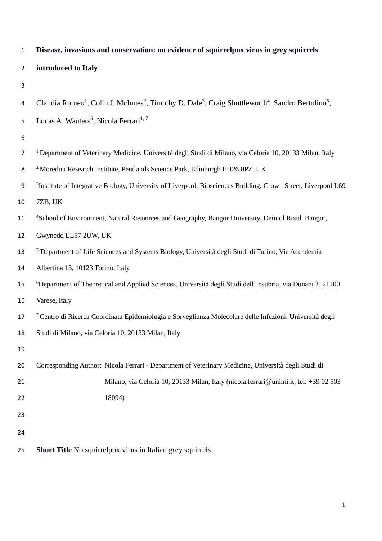| $\mathbf{1}$   | Disease, invasions and conservation: no evidence of squirrelpox virus in grey squirrels                                                                       |
|----------------|---------------------------------------------------------------------------------------------------------------------------------------------------------------|
| $\overline{2}$ | introduced to Italy                                                                                                                                           |
| 3              |                                                                                                                                                               |
| 4              | Claudia Romeo <sup>1</sup> , Colin J. McInnes <sup>2</sup> , Timothy D. Dale <sup>3</sup> , Craig Shuttleworth <sup>4</sup> , Sandro Bertolino <sup>5</sup> , |
| 5              | Lucas A. Wauters <sup>6</sup> , Nicola Ferrari <sup>1, 7</sup>                                                                                                |
| 6              |                                                                                                                                                               |
| $\overline{7}$ | <sup>1</sup> Department of Veterinary Medicine, Università degli Studi di Milano, via Celoria 10, 20133 Milan, Italy                                          |
| 8              | <sup>2</sup> Moredun Research Institute, Pentlands Science Park, Edinburgh EH26 0PZ, UK.                                                                      |
| 9              | <sup>3</sup> Institute of Integrative Biology, University of Liverpool, Biosciences Building, Crown Street, Liverpool L69                                     |
| 10             | 7ZB, UK                                                                                                                                                       |
| 11             | <sup>4</sup> School of Environment, Natural Resources and Geography, Bangor University, Deiniol Road, Bangor,                                                 |
| 12             | Gwynedd LL57 2UW, UK                                                                                                                                          |
| 13             | <sup>5</sup> Department of Life Sciences and Systems Biology, Università degli Studi di Torino, Via Accademia                                                 |
| 14             | Albertina 13, 10123 Torino, Italy                                                                                                                             |
| 15             | <sup>6</sup> Department of Theoretical and Applied Sciences, Università degli Studi dell'Insubria, via Dunant 3, 21100                                        |
| 16             | Varese, Italy                                                                                                                                                 |
| 17             | 7 Centro di Ricerca Coordinata Epidemiologia e Sorveglianza Molecolare delle Infezioni, Università degli                                                      |
| 18             | Studi di Milano, via Celoria 10, 20133 Milan, Italy                                                                                                           |
| 19             |                                                                                                                                                               |
| 20             | Corresponding Author: Nicola Ferrari - Department of Veterinary Medicine, Università degli Studi di                                                           |
| 21             | Milano, via Celoria 10, 20133 Milan, Italy (nicola.ferrari@unimi.it; tel: +39 02 503                                                                          |
| 22             | 18094)                                                                                                                                                        |
| 23             |                                                                                                                                                               |
| 24             |                                                                                                                                                               |
| 25             | <b>Short Title</b> No squirrelpox virus in Italian grey squirrels                                                                                             |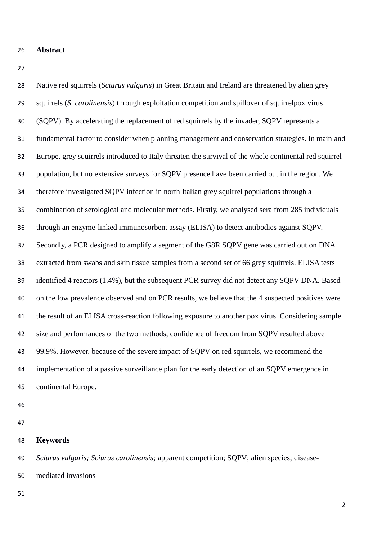- **Abstract**
- 

 Native red squirrels (*Sciurus vulgaris*) in Great Britain and Ireland are threatened by alien grey squirrels (*S. carolinensis*) through exploitation competition and spillover of squirrelpox virus (SQPV). By accelerating the replacement of red squirrels by the invader, SQPV represents a fundamental factor to consider when planning management and conservation strategies. In mainland Europe, grey squirrels introduced to Italy threaten the survival of the whole continental red squirrel population, but no extensive surveys for SQPV presence have been carried out in the region. We therefore investigated SQPV infection in north Italian grey squirrel populations through a combination of serological and molecular methods. Firstly, we analysed sera from 285 individuals through an enzyme-linked immunosorbent assay (ELISA) to detect antibodies against SQPV. Secondly, a PCR designed to amplify a segment of the G8R SQPV gene was carried out on DNA extracted from swabs and skin tissue samples from a second set of 66 grey squirrels. ELISA tests identified 4 reactors (1.4%), but the subsequent PCR survey did not detect any SQPV DNA. Based on the low prevalence observed and on PCR results, we believe that the 4 suspected positives were the result of an ELISA cross-reaction following exposure to another pox virus. Considering sample size and performances of the two methods, confidence of freedom from SQPV resulted above 99.9%. However, because of the severe impact of SQPV on red squirrels, we recommend the implementation of a passive surveillance plan for the early detection of an SQPV emergence in continental Europe.

- 
- 
- **Keywords**

 *Sciurus vulgaris; Sciurus carolinensis;* apparent competition; SQPV; alien species; disease-mediated invasions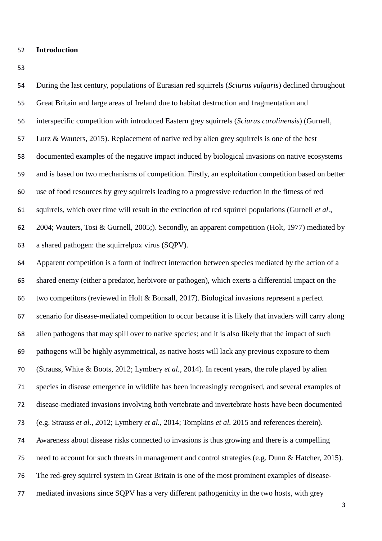#### **Introduction**

 During the last century, populations of Eurasian red squirrels (*Sciurus vulgaris*) declined throughout Great Britain and large areas of Ireland due to habitat destruction and fragmentation and interspecific competition with introduced Eastern grey squirrels (*Sciurus carolinensis*) (Gurnell, Lurz & Wauters, 2015). Replacement of native red by alien grey squirrels is one of the best documented examples of the negative impact induced by biological invasions on native ecosystems and is based on two mechanisms of competition. Firstly, an exploitation competition based on better use of food resources by grey squirrels leading to a progressive reduction in the fitness of red squirrels, which over time will result in the extinction of red squirrel populations (Gurnell *et al.*, 2004; Wauters, Tosi & Gurnell, 2005;). Secondly, an apparent competition (Holt, 1977) mediated by a shared pathogen: the squirrelpox virus (SQPV). Apparent competition is a form of indirect interaction between species mediated by the action of a shared enemy (either a predator, herbivore or pathogen), which exerts a differential impact on the two competitors (reviewed in Holt & Bonsall, 2017). Biological invasions represent a perfect scenario for disease-mediated competition to occur because it is likely that invaders will carry along alien pathogens that may spill over to native species; and it is also likely that the impact of such pathogens will be highly asymmetrical, as native hosts will lack any previous exposure to them (Strauss, White & Boots, 2012; Lymbery *et al.*, 2014). In recent years, the role played by alien species in disease emergence in wildlife has been increasingly recognised, and several examples of disease-mediated invasions involving both vertebrate and invertebrate hosts have been documented (e.g. Strauss *et al.*, 2012; Lymbery *et al.*, 2014; Tompkins *et al.* 2015 and references therein). Awareness about disease risks connected to invasions is thus growing and there is a compelling need to account for such threats in management and control strategies (e.g. Dunn & Hatcher, 2015). The red-grey squirrel system in Great Britain is one of the most prominent examples of disease-mediated invasions since SQPV has a very different pathogenicity in the two hosts, with grey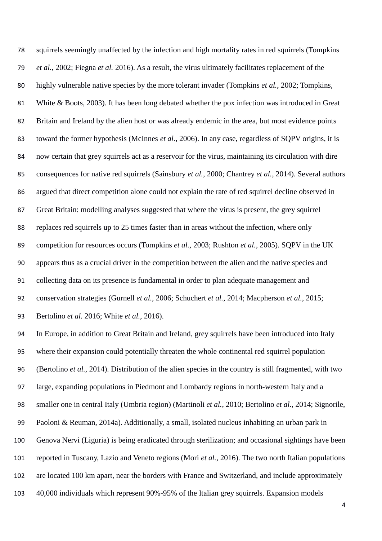squirrels seemingly unaffected by the infection and high mortality rates in red squirrels (Tompkins *et al.*, 2002; Fiegna *et al.* 2016). As a result, the virus ultimately facilitates replacement of the highly vulnerable native species by the more tolerant invader (Tompkins *et al.*, 2002; Tompkins, White & Boots, 2003). It has been long debated whether the pox infection was introduced in Great Britain and Ireland by the alien host or was already endemic in the area, but most evidence points toward the former hypothesis (McInnes *et al.*, 2006). In any case, regardless of SQPV origins, it is now certain that grey squirrels act as a reservoir for the virus, maintaining its circulation with dire consequences for native red squirrels (Sainsbury *et al.*, 2000; Chantrey *et al.*, 2014). Several authors argued that direct competition alone could not explain the rate of red squirrel decline observed in Great Britain: modelling analyses suggested that where the virus is present, the grey squirrel replaces red squirrels up to 25 times faster than in areas without the infection, where only competition for resources occurs (Tompkins *et al.*, 2003; Rushton *et al.*, 2005). SQPV in the UK appears thus as a crucial driver in the competition between the alien and the native species and collecting data on its presence is fundamental in order to plan adequate management and conservation strategies (Gurnell *et al.*, 2006; Schuchert *et al.*, 2014; Macpherson *et al.*, 2015; Bertolino *et al.* 2016; White *et al.*, 2016). In Europe, in addition to Great Britain and Ireland, grey squirrels have been introduced into Italy where their expansion could potentially threaten the whole continental red squirrel population (Bertolino *et al.*, 2014). Distribution of the alien species in the country is still fragmented, with two

large, expanding populations in Piedmont and Lombardy regions in north-western Italy and a

smaller one in central Italy (Umbria region) (Martinoli *et al.*, 2010; Bertolino *et al.*, 2014; Signorile,

Paoloni & Reuman, 2014a). Additionally, a small, isolated nucleus inhabiting an urban park in

Genova Nervi (Liguria) is being eradicated through sterilization; and occasional sightings have been

reported in Tuscany, Lazio and Veneto regions (Mori *et al.*, 2016). The two north Italian populations

are located 100 km apart, near the borders with France and Switzerland, and include approximately

40,000 individuals which represent 90%-95% of the Italian grey squirrels. Expansion models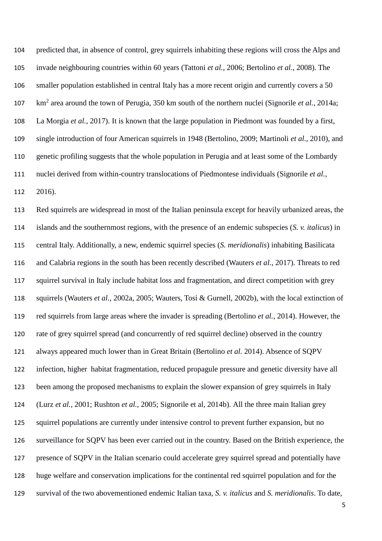predicted that, in absence of control, grey squirrels inhabiting these regions will cross the Alps and invade neighbouring countries within 60 years (Tattoni *et al.*, 2006; Bertolino *et al.*, 2008). The smaller population established in central Italy has a more recent origin and currently covers a 50 107 km<sup>2</sup> area around the town of Perugia, 350 km south of the northern nuclei (Signorile *et al.*, 2014a; La Morgia *et al.*, 2017). It is known that the large population in Piedmont was founded by a first, single introduction of four American squirrels in 1948 (Bertolino, 2009; Martinoli *et al.*, 2010), and genetic profiling suggests that the whole population in Perugia and at least some of the Lombardy nuclei derived from within-country translocations of Piedmontese individuals (Signorile *et al.*,

2016).

 Red squirrels are widespread in most of the Italian peninsula except for heavily urbanized areas, the islands and the southernmost regions, with the presence of an endemic subspecies (*S. v. italicus*) in central Italy. Additionally, a new, endemic squirrel species (*S. meridionalis*) inhabiting Basilicata and Calabria regions in the south has been recently described (Wauters *et al.*, 2017). Threats to red squirrel survival in Italy include habitat loss and fragmentation, and direct competition with grey squirrels (Wauters *et al.*, 2002a, 2005; Wauters, Tosi & Gurnell, 2002b), with the local extinction of red squirrels from large areas where the invader is spreading (Bertolino *et al.*, 2014). However, the rate of grey squirrel spread (and concurrently of red squirrel decline) observed in the country always appeared much lower than in Great Britain (Bertolino *et al.* 2014). Absence of SQPV infection, higher habitat fragmentation, reduced propagule pressure and genetic diversity have all been among the proposed mechanisms to explain the slower expansion of grey squirrels in Italy (Lurz *et al.*, 2001; Rushton *et al.*, 2005; Signorile et al, 2014b). All the three main Italian grey 125 squirrel populations are currently under intensive control to prevent further expansion, but no surveillance for SQPV has been ever carried out in the country. Based on the British experience, the presence of SQPV in the Italian scenario could accelerate grey squirrel spread and potentially have huge welfare and conservation implications for the continental red squirrel population and for the survival of the two abovementioned endemic Italian taxa, *S. v. italicus* and *S. meridionalis*. To date,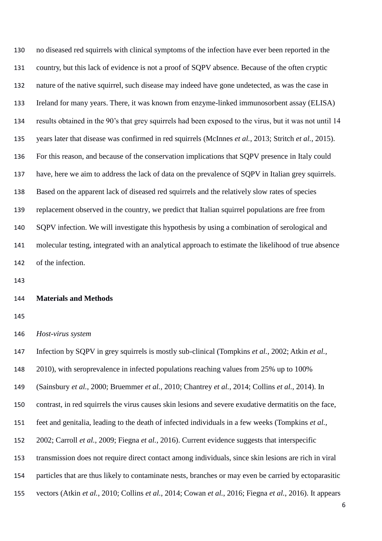no diseased red squirrels with clinical symptoms of the infection have ever been reported in the country, but this lack of evidence is not a proof of SQPV absence. Because of the often cryptic nature of the native squirrel, such disease may indeed have gone undetected, as was the case in Ireland for many years. There, it was known from enzyme-linked immunosorbent assay (ELISA) results obtained in the 90's that grey squirrels had been exposed to the virus, but it was not until 14 years later that disease was confirmed in red squirrels (McInnes *et al.*, 2013; Stritch *et al.*, 2015). For this reason, and because of the conservation implications that SQPV presence in Italy could have, here we aim to address the lack of data on the prevalence of SQPV in Italian grey squirrels. Based on the apparent lack of diseased red squirrels and the relatively slow rates of species replacement observed in the country, we predict that Italian squirrel populations are free from SQPV infection. We will investigate this hypothesis by using a combination of serological and molecular testing, integrated with an analytical approach to estimate the likelihood of true absence of the infection.

## **Materials and Methods**

*Host-virus system*

 Infection by SQPV in grey squirrels is mostly sub-clinical (Tompkins *et al.*, 2002; Atkin *et al.*, 2010), with seroprevalence in infected populations reaching values from 25% up to 100% (Sainsbury *et al.*, 2000; Bruemmer *et al.*, 2010; Chantrey *et al.*, 2014; Collins *et al.*, 2014). In contrast, in red squirrels the virus causes skin lesions and severe exudative dermatitis on the face, feet and genitalia, leading to the death of infected individuals in a few weeks (Tompkins *et al.*, 2002; Carroll *et al.*, 2009; Fiegna *et al.*, 2016). Current evidence suggests that interspecific transmission does not require direct contact among individuals, since skin lesions are rich in viral particles that are thus likely to contaminate nests, branches or may even be carried by ectoparasitic vectors (Atkin *et al.*, 2010; Collins *et al.*, 2014; Cowan *et al.*, 2016; Fiegna *et al.*, 2016). It appears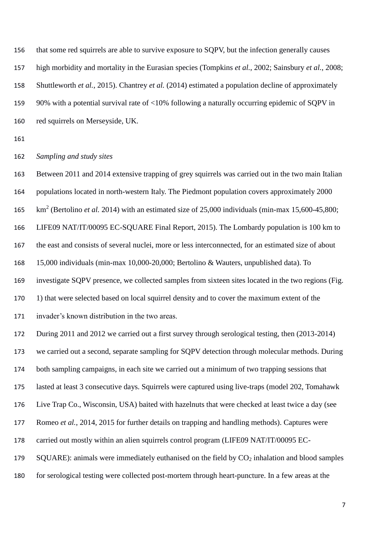that some red squirrels are able to survive exposure to SQPV, but the infection generally causes high morbidity and mortality in the Eurasian species (Tompkins *et al.*, 2002; Sainsbury *et al.*, 2008; Shuttleworth *et al.*, 2015). Chantrey *et al.* (2014) estimated a population decline of approximately 90% with a potential survival rate of <10% following a naturally occurring epidemic of SQPV in red squirrels on Merseyside, UK.

*Sampling and study sites*

 Between 2011 and 2014 extensive trapping of grey squirrels was carried out in the two main Italian populations located in north-western Italy. The Piedmont population covers approximately 2000 165 km<sup>2</sup> (Bertolino *et al.* 2014) with an estimated size of 25,000 individuals (min-max 15,600-45,800; LIFE09 NAT/IT/00095 EC-SQUARE Final Report, 2015). The Lombardy population is 100 km to the east and consists of several nuclei, more or less interconnected, for an estimated size of about 15,000 individuals (min-max 10,000-20,000; Bertolino & Wauters, unpublished data). To investigate SQPV presence, we collected samples from sixteen sites located in the two regions (Fig. 1) that were selected based on local squirrel density and to cover the maximum extent of the invader's known distribution in the two areas. During 2011 and 2012 we carried out a first survey through serological testing, then (2013-2014) we carried out a second, separate sampling for SQPV detection through molecular methods. During both sampling campaigns, in each site we carried out a minimum of two trapping sessions that lasted at least 3 consecutive days. Squirrels were captured using live-traps (model 202, Tomahawk Live Trap Co., Wisconsin, USA) baited with hazelnuts that were checked at least twice a day (see Romeo *et al.*, 2014, 2015 for further details on trapping and handling methods). Captures were carried out mostly within an alien squirrels control program (LIFE09 NAT/IT/00095 EC-179 SQUARE): animals were immediately euthanised on the field by  $CO<sub>2</sub>$  inhalation and blood samples for serological testing were collected post-mortem through heart-puncture. In a few areas at the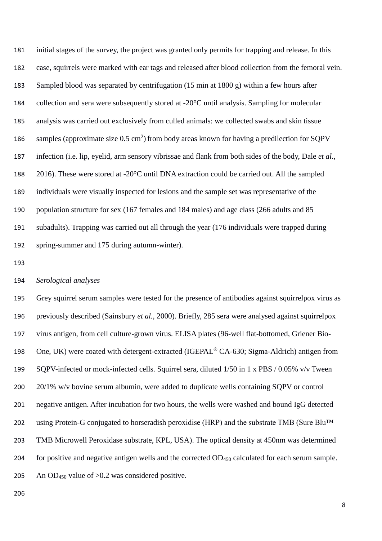initial stages of the survey, the project was granted only permits for trapping and release. In this case, squirrels were marked with ear tags and released after blood collection from the femoral vein. Sampled blood was separated by centrifugation (15 min at 1800 g) within a few hours after collection and sera were subsequently stored at -20°C until analysis. Sampling for molecular analysis was carried out exclusively from culled animals: we collected swabs and skin tissue 186 samples (approximate size  $0.5 \text{ cm}^2$ ) from body areas known for having a predilection for SQPV infection (i.e. lip, eyelid, arm sensory vibrissae and flank from both sides of the body, Dale *et al.*, 2016). These were stored at -20°C until DNA extraction could be carried out. All the sampled individuals were visually inspected for lesions and the sample set was representative of the population structure for sex (167 females and 184 males) and age class (266 adults and 85 subadults). Trapping was carried out all through the year (176 individuals were trapped during spring-summer and 175 during autumn-winter).

## *Serological analyses*

 Grey squirrel serum samples were tested for the presence of antibodies against squirrelpox virus as previously described (Sainsbury *et al.*, 2000). Briefly, 285 sera were analysed against squirrelpox virus antigen, from cell culture-grown virus. ELISA plates (96-well flat-bottomed, Griener Bio-198 One, UK) were coated with detergent-extracted (IGEPAL<sup>®</sup> CA-630; Sigma-Aldrich) antigen from SQPV-infected or mock-infected cells. Squirrel sera, diluted 1/50 in 1 x PBS / 0.05% v/v Tween 20/1% w/v bovine serum albumin, were added to duplicate wells containing SQPV or control negative antigen. After incubation for two hours, the wells were washed and bound IgG detected 202 using Protein-G conjugated to horseradish peroxidise (HRP) and the substrate TMB (Sure Blu™ TMB Microwell Peroxidase substrate, KPL, USA). The optical density at 450nm was determined 204 for positive and negative antigen wells and the corrected  $OD<sub>450</sub>$  calculated for each serum sample. 205 An OD<sub>450</sub> value of  $>0.2$  was considered positive.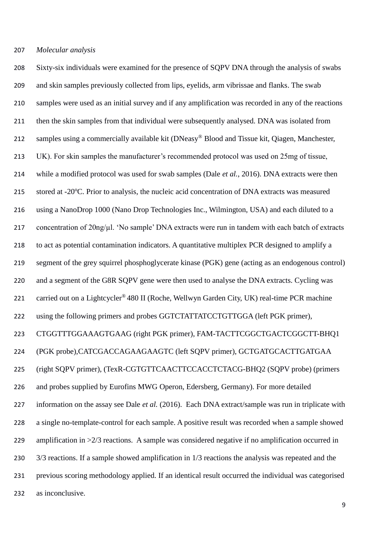## *Molecular analysis*

 Sixty-six individuals were examined for the presence of SQPV DNA through the analysis of swabs and skin samples previously collected from lips, eyelids, arm vibrissae and flanks. The swab samples were used as an initial survey and if any amplification was recorded in any of the reactions then the skin samples from that individual were subsequently analysed. DNA was isolated from 212 samples using a commercially available kit (DNeasy® Blood and Tissue kit, Oiagen, Manchester, UK). For skin samples the manufacturer's recommended protocol was used on 25mg of tissue, while a modified protocol was used for swab samples (Dale *et al.*, 2016). DNA extracts were then 215 stored at -20°C. Prior to analysis, the nucleic acid concentration of DNA extracts was measured using a NanoDrop 1000 (Nano Drop Technologies Inc., Wilmington, USA) and each diluted to a 217 concentration of  $20\frac{\mu l}{\nu}$ . 'No sample' DNA extracts were run in tandem with each batch of extracts to act as potential contamination indicators. A quantitative multiplex PCR designed to amplify a segment of the grey squirrel phosphoglycerate kinase (PGK) gene (acting as an endogenous control) 220 and a segment of the G8R SQPV gene were then used to analyse the DNA extracts. Cycling was 221 carried out on a Lightcycler<sup>®</sup> 480 II (Roche, Wellwyn Garden City, UK) real-time PCR machine 222 using the following primers and probes GGTCTATTATCCTGTTGGA (left PGK primer), CTGGTTTGGAAAGTGAAG (right PGK primer), FAM-TACTTCGGCTGACTCGGCTT-BHQ1 (PGK probe),CATCGACCAGAAGAAGTC (left SQPV primer), GCTGATGCACTTGATGAA (right SQPV primer), (TexR-CGTGTTCAACTTCCACCTCTACG-BHQ2 (SQPV probe) (primers and probes supplied by Eurofins MWG Operon, Edersberg, Germany). For more detailed information on the assay see Dale *et al.* (2016). Each DNA extract/sample was run in triplicate with a single no-template-control for each sample. A positive result was recorded when a sample showed amplification in >2/3 reactions. A sample was considered negative if no amplification occurred in 3/3 reactions. If a sample showed amplification in 1/3 reactions the analysis was repeated and the previous scoring methodology applied. If an identical result occurred the individual was categorised as inconclusive.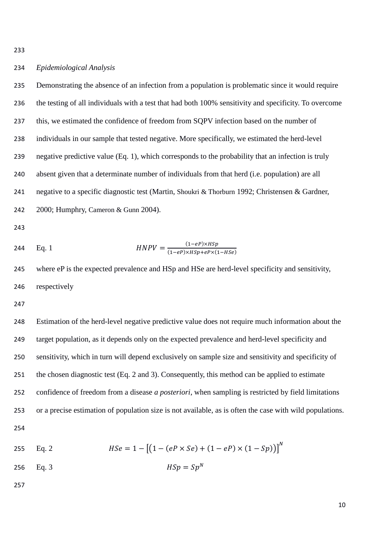# *Epidemiological Analysis*

 Demonstrating the absence of an infection from a population is problematic since it would require the testing of all individuals with a test that had both 100% sensitivity and specificity. To overcome this, we estimated the confidence of freedom from SQPV infection based on the number of individuals in our sample that tested negative. More specifically, we estimated the herd-level negative predictive value (Eq. 1), which corresponds to the probability that an infection is truly absent given that a determinate number of individuals from that herd (i.e. population) are all negative to a specific diagnostic test (Martin, Shoukri & Thorburn 1992; Christensen & Gardner, 2000; Humphry, Cameron & Gunn 2004).

244 Eq. 1 
$$
HNPV = \frac{(1 - eP) \times HSp}{(1 - eP) \times HSp + eP \times (1 - HSe)}
$$

 where eP is the expected prevalence and HSp and HSe are herd-level specificity and sensitivity, respectively

 Estimation of the herd-level negative predictive value does not require much information about the target population, as it depends only on the expected prevalence and herd-level specificity and sensitivity, which in turn will depend exclusively on sample size and sensitivity and specificity of the chosen diagnostic test (Eq. 2 and 3). Consequently, this method can be applied to estimate confidence of freedom from a disease *a posteriori*, when sampling is restricted by field limitations or a precise estimation of population size is not available, as is often the case with wild populations. 

255 Eq. 2 
$$
HSe = 1 - [(1 - (eP \times Se) + (1 - eP) \times (1 - Sp))]^{N}
$$

$$
1256 \t Eq. 3 \t HSp = SpN
$$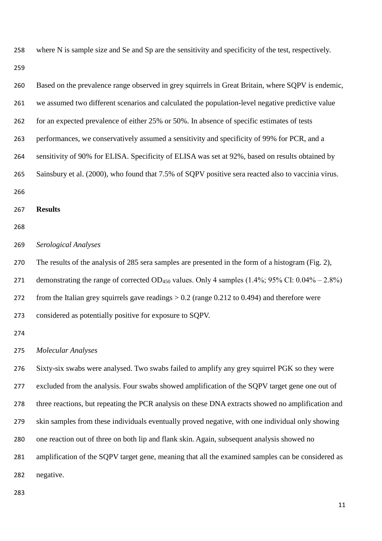where N is sample size and Se and Sp are the sensitivity and specificity of the test, respectively.

| 260 | Based on the prevalence range observed in grey squirrels in Great Britain, where SQPV is endemic,                         |
|-----|---------------------------------------------------------------------------------------------------------------------------|
| 261 | we assumed two different scenarios and calculated the population-level negative predictive value                          |
| 262 | for an expected prevalence of either 25% or 50%. In absence of specific estimates of tests                                |
| 263 | performances, we conservatively assumed a sensitivity and specificity of 99% for PCR, and a                               |
| 264 | sensitivity of 90% for ELISA. Specificity of ELISA was set at 92%, based on results obtained by                           |
| 265 | Sainsbury et al. (2000), who found that 7.5% of SQPV positive sera reacted also to vaccinia virus.                        |
| 266 |                                                                                                                           |
| 267 | <b>Results</b>                                                                                                            |
| 268 |                                                                                                                           |
| 269 | Serological Analyses                                                                                                      |
| 270 | The results of the analysis of 285 sera samples are presented in the form of a histogram (Fig. 2),                        |
| 271 | demonstrating the range of corrected OD <sub>450</sub> values. Only 4 samples $(1.4\%; 95\% \text{ CI: } 0.04\% - 2.8\%)$ |
| 272 | from the Italian grey squirrels gave readings $> 0.2$ (range 0.212 to 0.494) and therefore were                           |
| 273 | considered as potentially positive for exposure to SQPV.                                                                  |
| 274 |                                                                                                                           |
| 275 | <b>Molecular Analyses</b>                                                                                                 |
| 276 | Sixty-six swabs were analysed. Two swabs failed to amplify any grey squirrel PGK so they were                             |
| 277 | excluded from the analysis. Four swabs showed amplification of the SQPV target gene one out of                            |
| 278 | three reactions, but repeating the PCR analysis on these DNA extracts showed no amplification and                         |
| 279 | skin samples from these individuals eventually proved negative, with one individual only showing                          |
| 280 | one reaction out of three on both lip and flank skin. Again, subsequent analysis showed no                                |
| 281 | amplification of the SQPV target gene, meaning that all the examined samples can be considered as                         |
| 282 | negative.                                                                                                                 |
|     |                                                                                                                           |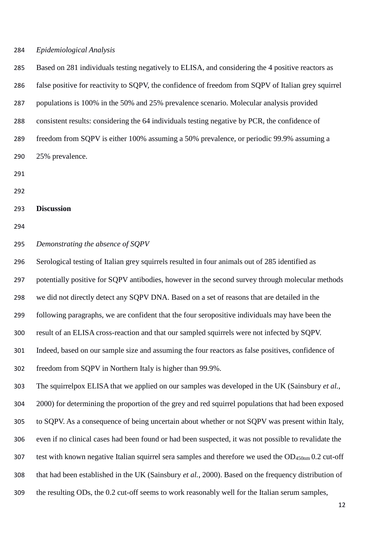## *Epidemiological Analysis*

 Based on 281 individuals testing negatively to ELISA, and considering the 4 positive reactors as false positive for reactivity to SQPV, the confidence of freedom from SQPV of Italian grey squirrel populations is 100% in the 50% and 25% prevalence scenario. Molecular analysis provided consistent results: considering the 64 individuals testing negative by PCR, the confidence of freedom from SQPV is either 100% assuming a 50% prevalence, or periodic 99.9% assuming a 25% prevalence. **Discussion** *Demonstrating the absence of SQPV* Serological testing of Italian grey squirrels resulted in four animals out of 285 identified as potentially positive for SQPV antibodies, however in the second survey through molecular methods we did not directly detect any SQPV DNA. Based on a set of reasons that are detailed in the following paragraphs, we are confident that the four seropositive individuals may have been the result of an ELISA cross-reaction and that our sampled squirrels were not infected by SQPV. Indeed, based on our sample size and assuming the four reactors as false positives, confidence of freedom from SQPV in Northern Italy is higher than 99.9%. The squirrelpox ELISA that we applied on our samples was developed in the UK (Sainsbury *et al.*, 2000) for determining the proportion of the grey and red squirrel populations that had been exposed to SQPV. As a consequence of being uncertain about whether or not SQPV was present within Italy, even if no clinical cases had been found or had been suspected, it was not possible to revalidate the test with known negative Italian squirrel sera samples and therefore we used the OD450nm 0.2 cut-off that had been established in the UK (Sainsbury *et al.*, 2000). Based on the frequency distribution of

the resulting ODs, the 0.2 cut-off seems to work reasonably well for the Italian serum samples,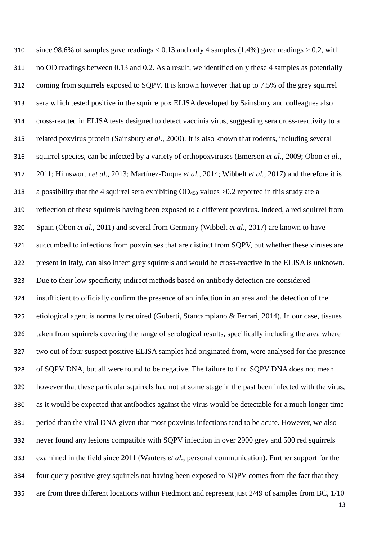310 since 98.6% of samples gave readings  $< 0.13$  and only 4 samples (1.4%) gave readings  $> 0.2$ , with no OD readings between 0.13 and 0.2. As a result, we identified only these 4 samples as potentially coming from squirrels exposed to SQPV. It is known however that up to 7.5% of the grey squirrel sera which tested positive in the squirrelpox ELISA developed by Sainsbury and colleagues also cross-reacted in ELISA tests designed to detect vaccinia virus, suggesting sera cross-reactivity to a related poxvirus protein (Sainsbury *et al.*, 2000). It is also known that rodents, including several squirrel species, can be infected by a variety of orthopoxviruses (Emerson *et al.*, 2009; Obon *et al.*, 2011; Himsworth *et al.,* 2013; Martínez-Duque *et al.*, 2014; Wibbelt *et al.*, 2017) and therefore it is a possibility that the 4 squirrel sera exhibiting OD<sup>450</sup> values >0.2 reported in this study are a reflection of these squirrels having been exposed to a different poxvirus. Indeed, a red squirrel from Spain (Obon *et al.*, 2011) and several from Germany (Wibbelt *et al.*, 2017) are known to have succumbed to infections from poxviruses that are distinct from SQPV, but whether these viruses are present in Italy, can also infect grey squirrels and would be cross-reactive in the ELISA is unknown. Due to their low specificity, indirect methods based on antibody detection are considered insufficient to officially confirm the presence of an infection in an area and the detection of the etiological agent is normally required (Guberti, Stancampiano & Ferrari, 2014). In our case, tissues taken from squirrels covering the range of serological results, specifically including the area where two out of four suspect positive ELISA samples had originated from, were analysed for the presence of SQPV DNA, but all were found to be negative. The failure to find SQPV DNA does not mean however that these particular squirrels had not at some stage in the past been infected with the virus, as it would be expected that antibodies against the virus would be detectable for a much longer time period than the viral DNA given that most poxvirus infections tend to be acute. However, we also never found any lesions compatible with SQPV infection in over 2900 grey and 500 red squirrels examined in the field since 2011 (Wauters *et al.*, personal communication). Further support for the four query positive grey squirrels not having been exposed to SQPV comes from the fact that they are from three different locations within Piedmont and represent just 2/49 of samples from BC, 1/10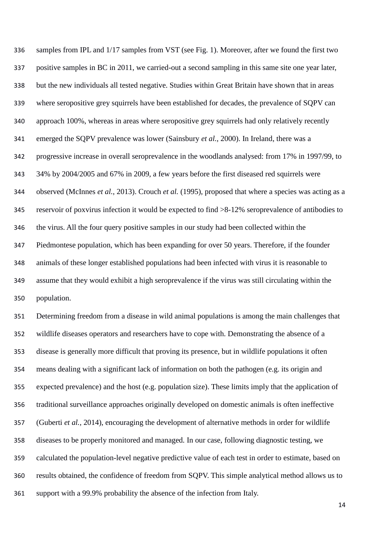samples from IPL and 1/17 samples from VST (see Fig. 1). Moreover, after we found the first two positive samples in BC in 2011, we carried-out a second sampling in this same site one year later, but the new individuals all tested negative. Studies within Great Britain have shown that in areas where seropositive grey squirrels have been established for decades, the prevalence of SQPV can approach 100%, whereas in areas where seropositive grey squirrels had only relatively recently emerged the SQPV prevalence was lower (Sainsbury *et al.*, 2000). In Ireland, there was a progressive increase in overall seroprevalence in the woodlands analysed: from 17% in 1997/99, to 34% by 2004/2005 and 67% in 2009, a few years before the first diseased red squirrels were observed (McInnes *et al.*, 2013). Crouch *et al.* (1995), proposed that where a species was acting as a reservoir of poxvirus infection it would be expected to find >8-12% seroprevalence of antibodies to the virus. All the four query positive samples in our study had been collected within the Piedmontese population, which has been expanding for over 50 years. Therefore, if the founder animals of these longer established populations had been infected with virus it is reasonable to assume that they would exhibit a high seroprevalence if the virus was still circulating within the population.

 Determining freedom from a disease in wild animal populations is among the main challenges that wildlife diseases operators and researchers have to cope with. Demonstrating the absence of a disease is generally more difficult that proving its presence, but in wildlife populations it often means dealing with a significant lack of information on both the pathogen (e.g. its origin and expected prevalence) and the host (e.g. population size). These limits imply that the application of traditional surveillance approaches originally developed on domestic animals is often ineffective (Guberti *et al.,* 2014), encouraging the development of alternative methods in order for wildlife diseases to be properly monitored and managed*.* In our case, following diagnostic testing, we calculated the population-level negative predictive value of each test in order to estimate, based on results obtained, the confidence of freedom from SQPV. This simple analytical method allows us to support with a 99.9% probability the absence of the infection from Italy.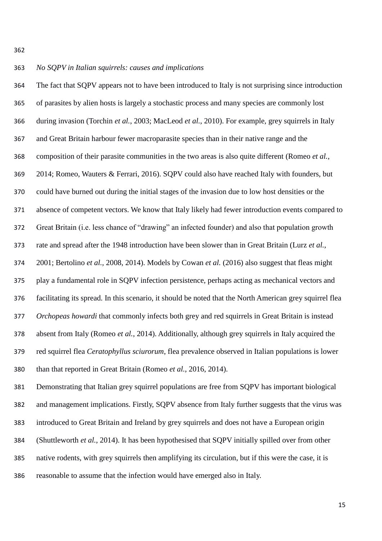## *No SQPV in Italian squirrels: causes and implications*

 The fact that SQPV appears not to have been introduced to Italy is not surprising since introduction of parasites by alien hosts is largely a stochastic process and many species are commonly lost during invasion (Torchin *et al.*, 2003; MacLeod *et al.*, 2010). For example, grey squirrels in Italy and Great Britain harbour fewer macroparasite species than in their native range and the composition of their parasite communities in the two areas is also quite different (Romeo *et al.*, 2014; Romeo, Wauters & Ferrari, 2016). SQPV could also have reached Italy with founders, but could have burned out during the initial stages of the invasion due to low host densities or the absence of competent vectors. We know that Italy likely had fewer introduction events compared to Great Britain (i.e. less chance of "drawing" an infected founder) and also that population growth rate and spread after the 1948 introduction have been slower than in Great Britain (Lurz *et al.*, 2001; Bertolino *et al.*, 2008, 2014). Models by Cowan *et al.* (2016) also suggest that fleas might play a fundamental role in SQPV infection persistence, perhaps acting as mechanical vectors and facilitating its spread. In this scenario, it should be noted that the North American grey squirrel flea *Orchopeas howardi* that commonly infects both grey and red squirrels in Great Britain is instead absent from Italy (Romeo *et al.*, 2014). Additionally, although grey squirrels in Italy acquired the red squirrel flea *Ceratophyllus sciurorum*, flea prevalence observed in Italian populations is lower than that reported in Great Britain (Romeo *et al.*, 2016, 2014).

 Demonstrating that Italian grey squirrel populations are free from SQPV has important biological and management implications. Firstly, SQPV absence from Italy further suggests that the virus was introduced to Great Britain and Ireland by grey squirrels and does not have a European origin (Shuttleworth *et al.*, 2014). It has been hypothesised that SQPV initially spilled over from other native rodents, with grey squirrels then amplifying its circulation, but if this were the case, it is reasonable to assume that the infection would have emerged also in Italy.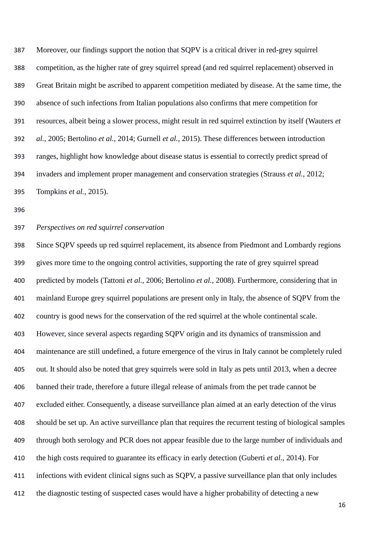Moreover, our findings support the notion that SQPV is a critical driver in red-grey squirrel competition, as the higher rate of grey squirrel spread (and red squirrel replacement) observed in Great Britain might be ascribed to apparent competition mediated by disease. At the same time, the absence of such infections from Italian populations also confirms that mere competition for resources, albeit being a slower process, might result in red squirrel extinction by itself (Wauters *et al.*, 2005; Bertolino *et al.*, 2014; Gurnell *et al.*, 2015). These differences between introduction ranges, highlight how knowledge about disease status is essential to correctly predict spread of invaders and implement proper management and conservation strategies (Strauss *et al.*, 2012; Tompkins *et al.*, 2015).

### *Perspectives on red squirrel conservation*

 Since SQPV speeds up red squirrel replacement, its absence from Piedmont and Lombardy regions gives more time to the ongoing control activities, supporting the rate of grey squirrel spread predicted by models (Tattoni *et al.*, 2006; Bertolino *et al.*, 2008). Furthermore, considering that in mainland Europe grey squirrel populations are present only in Italy, the absence of SQPV from the country is good news for the conservation of the red squirrel at the whole continental scale. However, since several aspects regarding SQPV origin and its dynamics of transmission and maintenance are still undefined, a future emergence of the virus in Italy cannot be completely ruled out. It should also be noted that grey squirrels were sold in Italy as pets until 2013, when a decree banned their trade, therefore a future illegal release of animals from the pet trade cannot be excluded either. Consequently, a disease surveillance plan aimed at an early detection of the virus should be set up. An active surveillance plan that requires the recurrent testing of biological samples through both serology and PCR does not appear feasible due to the large number of individuals and the high costs required to guarantee its efficacy in early detection (Guberti *et al.*, 2014). For infections with evident clinical signs such as SQPV, a passive surveillance plan that only includes the diagnostic testing of suspected cases would have a higher probability of detecting a new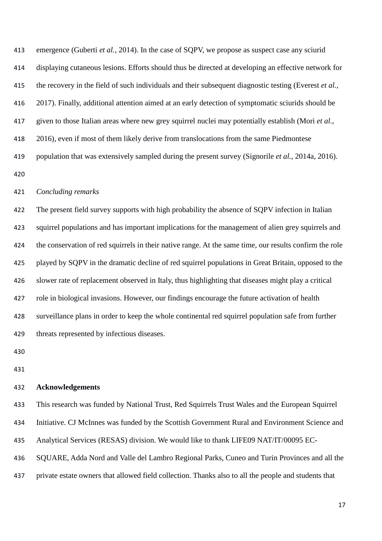emergence (Guberti *et al.*, 2014). In the case of SQPV, we propose as suspect case any sciurid displaying cutaneous lesions. Efforts should thus be directed at developing an effective network for the recovery in the field of such individuals and their subsequent diagnostic testing (Everest *et al.,* 2017). Finally, additional attention aimed at an early detection of symptomatic sciurids should be given to those Italian areas where new grey squirrel nuclei may potentially establish (Mori *et al.*, 2016), even if most of them likely derive from translocations from the same Piedmontese population that was extensively sampled during the present survey (Signorile *et al.*, 2014a, 2016). 

## *Concluding remarks*

 The present field survey supports with high probability the absence of SQPV infection in Italian squirrel populations and has important implications for the management of alien grey squirrels and the conservation of red squirrels in their native range. At the same time, our results confirm the role played by SQPV in the dramatic decline of red squirrel populations in Great Britain, opposed to the slower rate of replacement observed in Italy, thus highlighting that diseases might play a critical role in biological invasions. However, our findings encourage the future activation of health surveillance plans in order to keep the whole continental red squirrel population safe from further threats represented by infectious diseases.

## **Acknowledgements**

This research was funded by National Trust, Red Squirrels Trust Wales and the European Squirrel

Initiative. CJ McInnes was funded by the Scottish Government Rural and Environment Science and

Analytical Services (RESAS) division. We would like to thank LIFE09 NAT/IT/00095 EC-

SQUARE, Adda Nord and Valle del Lambro Regional Parks, Cuneo and Turin Provinces and all the

private estate owners that allowed field collection. Thanks also to all the people and students that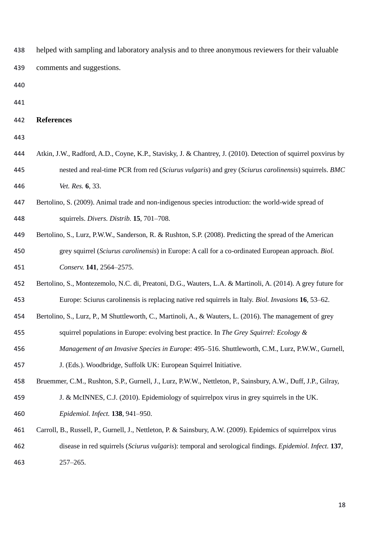- helped with sampling and laboratory analysis and to three anonymous reviewers for their valuable comments and suggestions.
- 
- 

#### **References**

- 
- Atkin, J.W., Radford, A.D., Coyne, K.P., Stavisky, J. & Chantrey, J. (2010). Detection of squirrel poxvirus by nested and real-time PCR from red (*Sciurus vulgaris*) and grey (*Sciurus carolinensis*) squirrels. *BMC Vet. Res.* **6**, 33.
- Bertolino, S. (2009). Animal trade and non-indigenous species introduction: the world-wide spread of squirrels. *Divers. Distrib.* **15**, 701–708.
- Bertolino, S., Lurz, P.W.W., Sanderson, R. & Rushton, S.P. (2008). Predicting the spread of the American grey squirrel (*Sciurus carolinensis*) in Europe: A call for a co-ordinated European approach. *Biol. Conserv.* **141**, 2564–2575.
- Bertolino, S., Montezemolo, N.C. di, Preatoni, D.G., Wauters, L.A. & Martinoli, A. (2014). A grey future for Europe: Sciurus carolinensis is replacing native red squirrels in Italy. *Biol. Invasions* **16**, 53–62.

Bertolino, S., Lurz, P., M Shuttleworth, C., Martinoli, A., & Wauters, L. (2016). The management of grey

- squirrel populations in Europe: evolving best practice. In *The Grey Squirrel: Ecology &*
- *Management of an Invasive Species in Europe*: 495–516. Shuttleworth, C.M., Lurz, P.W.W., Gurnell,

J. (Eds.). Woodbridge, Suffolk UK: European Squirrel Initiative.

Bruemmer, C.M., Rushton, S.P., Gurnell, J., Lurz, P.W.W., Nettleton, P., Sainsbury, A.W., Duff, J.P., Gilray,

- J. & McINNES, C.J. (2010). Epidemiology of squirrelpox virus in grey squirrels in the UK. *Epidemiol. Infect.* **138**, 941–950.
- Carroll, B., Russell, P., Gurnell, J., Nettleton, P. & Sainsbury, A.W. (2009). Epidemics of squirrelpox virus disease in red squirrels (*Sciurus vulgaris*): temporal and serological findings. *Epidemiol. Infect.* **137**, 257–265.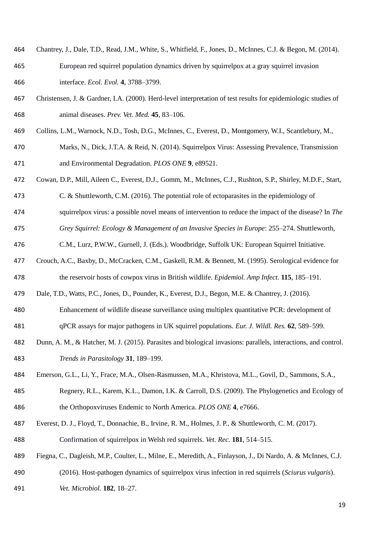- Chantrey, J., Dale, T.D., Read, J.M., White, S., Whitfield, F., Jones, D., McInnes, C.J. & Begon, M. (2014). European red squirrel population dynamics driven by squirrelpox at a gray squirrel invasion interface. *Ecol. Evol.* **4**, 3788–3799.
- Christensen, J. & Gardner, I.A. (2000). Herd-level interpretation of test results for epidemiologic studies of animal diseases. *Prev. Vet. Med.* **45**, 83–106.
- Collins, L.M., Warnock, N.D., Tosh, D.G., McInnes, C., Everest, D., Montgomery, W.I., Scantlebury, M.,
- Marks, N., Dick, J.T.A. & Reid, N. (2014). Squirrelpox Virus: Assessing Prevalence, Transmission and Environmental Degradation. *PLOS ONE* **9**, e89521.
- Cowan, D.P., Mill, Aileen C., Everest, D.J., Gomm, M., McInnes, C.J., Rushton, S.P., Shirley, M.D.F., Start,
- C. & Shuttleworth, C.M. (2016). The potential role of ectoparasites in the epidemiology of
- squirrelpox virus: a possible novel means of intervention to reduce the impact of the disease? In *The*

*Grey Squirrel: Ecology & Management of an Invasive Species in Europe*: 255–274. Shuttleworth,

- C.M., Lurz, P.W.W., Gurnell, J. (Eds.). Woodbridge, Suffolk UK: European Squirrel Initiative.
- Crouch, A.C., Baxby, D., McCracken, C.M., Gaskell, R.M. & Bennett, M. (1995). Serological evidence for the reservoir hosts of cowpox virus in British wildlife. *Epidemiol. Amp Infect.* **115**, 185–191.
- Dale, T.D., Watts, P.C., Jones, D., Pounder, K., Everest, D.J., Begon, M.E. & Chantrey, J. (2016).
- Enhancement of wildlife disease surveillance using multiplex quantitative PCR: development of qPCR assays for major pathogens in UK squirrel populations. *Eur. J. Wildl. Res.* **62**, 589–599.
- Dunn, A. M., & Hatcher, M. J. (2015). Parasites and biological invasions: parallels, interactions, and control. *Trends in Parasitology* **31**, 189–199.
- Emerson, G.L., Li, Y., Frace, M.A., Olsen-Rasmussen, M.A., Khristova, M.L., Govil, D., Sammons, S.A.,
- Regnery, R.L., Karem, K.L., Damon, I.K. & Carroll, D.S. (2009). The Phylogenetics and Ecology of the Orthopoxviruses Endemic to North America. *PLOS ONE* **4**, e7666.
- Everest, D. J., Floyd, T., Donnachie, B., Irvine, R. M., Holmes, J. P., & Shuttleworth, C. M. (2017). Confirmation of squirrelpox in Welsh red squirrels. *Vet. Rec.* **181**, 514–515.
- Fiegna, C., Dagleish, M.P., Coulter, L., Milne, E., Meredith, A., Finlayson, J., Di Nardo, A. & McInnes, C.J.
- (2016). Host-pathogen dynamics of squirrelpox virus infection in red squirrels (*Sciurus vulgaris*).
- *Vet. Microbiol.* **182**, 18–27.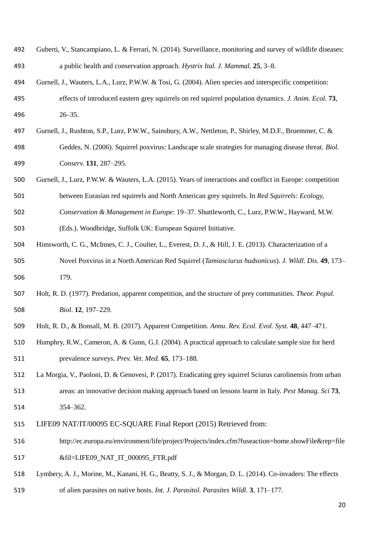- Guberti, V., Stancampiano, L. & Ferrari, N. (2014). Surveillance, monitoring and survey of wildlife diseases: a public health and conservation approach. *Hystrix Ital. J. Mammal.* **25**, 3–8.
- Gurnell, J., Wauters, L.A., Lurz, P.W.W. & Tosi, G. (2004). Alien species and interspecific competition: effects of introduced eastern grey squirrels on red squirrel population dynamics. *J. Anim. Ecol.* **73**, 26–35.
- Gurnell, J., Rushton, S.P., Lurz, P.W.W., Sainsbury, A.W., Nettleton, P., Shirley, M.D.F., Bruemmer, C. &
- Geddes, N. (2006). Squirrel poxvirus: Landscape scale strategies for managing disease threat. *Biol. Conserv.* **131**, 287–295.
- Gurnell, J., Lurz, P.W.W. & Wauters, L.A. (2015). Years of interactions and conflict in Europe: competition
- between Eurasian red squirrels and North American grey squirrels. In *Red Squirrels: Ecology,*
- *Conservation & Management in Europe*: 19–37. Shuttleworth, C., Lurz, P.W.W., Hayward, M.W.
- (Eds.). Woodbridge, Suffolk UK: European Squirrel Initiative.
- Himsworth, C. G., McInnes, C. J., Coulter, L., Everest, D. J., & Hill, J. E. (2013). Characterization of a Novel Poxvirus in a North American Red Squirrel (*Tamiasciurus hudsonicus*). *J. Wildl. Dis.* **49**, 173– 179.
- Holt, R. D. (1977). Predation, apparent competition, and the structure of prey communities. *Theor. Popul. Biol.* **12**, 197–229.
- Holt, R. D., & Bonsall, M. B. (2017). Apparent Competition. *Annu. Rev. Ecol. Evol. Syst.* **48**, 447–471.
- Humphry, R.W., Cameron, A. & Gunn, G.J. (2004). A practical approach to calculate sample size for herd prevalence surveys. *Prev. Vet. Med.* **65**, 173–188.
- La Morgia, V., Paoloni, D. & Genovesi, P. (2017). Eradicating grey squirrel Sciurus carolinensis from urban areas: an innovative decision making approach based on lessons learnt in Italy. *Pest Manag. Sci* **73**, 354–362.
- 
- LIFE09 NAT/IT/00095 EC-SQUARE Final Report (2015) Retrieved from:
- http://ec.europa.eu/environment/life/project/Projects/index.cfm?fuseaction=home.showFile&rep=file 517 &fil=LIFE09\_NAT\_IT\_000095\_FTR.pdf
- Lymbery, A. J., Morine, M., Kanani, H. G., Beatty, S. J., & Morgan, D. L. (2014). Co-invaders: The effects
- of alien parasites on native hosts. *Int. J. Parasitol. Parasites Wildl.* **3**, 171–177.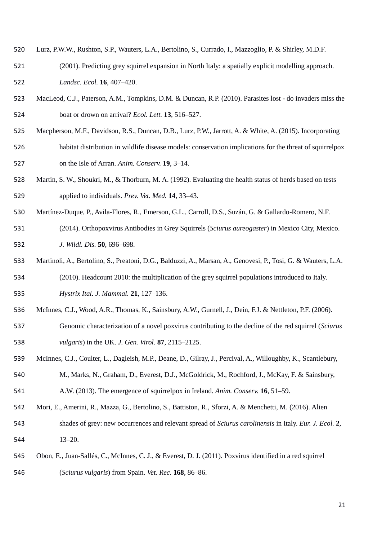- Lurz, P.W.W., Rushton, S.P., Wauters, L.A., Bertolino, S., Currado, I., Mazzoglio, P. & Shirley, M.D.F.
- (2001). Predicting grey squirrel expansion in North Italy: a spatially explicit modelling approach. *Landsc. Ecol.* **16**, 407–420.
- MacLeod, C.J., Paterson, A.M., Tompkins, D.M. & Duncan, R.P. (2010). Parasites lost do invaders miss the boat or drown on arrival? *Ecol. Lett.* **13**, 516–527.
- Macpherson, M.F., Davidson, R.S., Duncan, D.B., Lurz, P.W., Jarrott, A. & White, A. (2015). Incorporating
- habitat distribution in wildlife disease models: conservation implications for the threat of squirrelpox on the Isle of Arran. *Anim. Conserv.* **19**, 3–14.
- Martin, S. W., Shoukri, M., & Thorburn, M. A. (1992). Evaluating the health status of herds based on tests applied to individuals. *Prev. Vet. Med.* **14**, 33–43.
- Martínez-Duque, P., Avila-Flores, R., Emerson, G.L., Carroll, D.S., Suzán, G. & Gallardo-Romero, N.F.
- (2014). Orthopoxvirus Antibodies in Grey Squirrels (*Sciurus aureogaster*) in Mexico City, Mexico. *J. Wildl. Dis.* **50**, 696–698.
- Martinoli, A., Bertolino, S., Preatoni, D.G., Balduzzi, A., Marsan, A., Genovesi, P., Tosi, G. & Wauters, L.A. (2010). Headcount 2010: the multiplication of the grey squirrel populations introduced to Italy.
- *Hystrix Ital. J. Mammal.* **21**, 127–136.
- McInnes, C.J., Wood, A.R., Thomas, K., Sainsbury, A.W., Gurnell, J., Dein, F.J. & Nettleton, P.F. (2006).
- Genomic characterization of a novel poxvirus contributing to the decline of the red squirrel (*Sciurus vulgaris*) in the UK. *J. Gen. Virol.* **87**, 2115–2125.
- McInnes, C.J., Coulter, L., Dagleish, M.P., Deane, D., Gilray, J., Percival, A., Willoughby, K., Scantlebury,
- M., Marks, N., Graham, D., Everest, D.J., McGoldrick, M., Rochford, J., McKay, F. & Sainsbury, A.W. (2013). The emergence of squirrelpox in Ireland. *Anim. Conserv.* **16**, 51–59.
- Mori, E., Amerini, R., Mazza, G., Bertolino, S., Battiston, R., Sforzi, A. & Menchetti, M. (2016). Alien
- shades of grey: new occurrences and relevant spread of *Sciurus carolinensis* in Italy. *Eur. J. Ecol.* **2**, 13–20.
- Obon, E., Juan-Sallés, C., McInnes, C. J., & Everest, D. J. (2011). Poxvirus identified in a red squirrel
- (*Sciurus vulgaris*) from Spain. *Vet. Rec.* **168**, 86–86.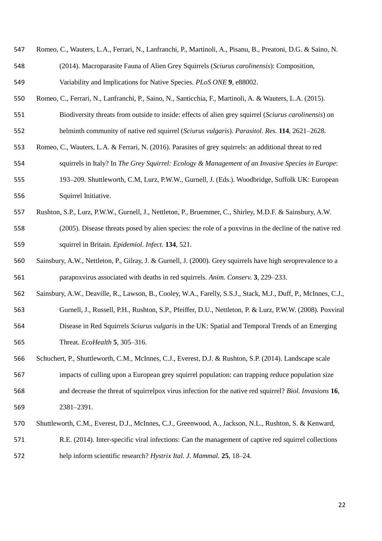- Romeo, C., Wauters, L.A., Ferrari, N., Lanfranchi, P., Martinoli, A., Pisanu, B., Preatoni, D.G. & Saino, N. (2014). Macroparasite Fauna of Alien Grey Squirrels (*Sciurus carolinensis*): Composition, Variability and Implications for Native Species. *PLoS ONE* **9**, e88002.
- Romeo, C., Ferrari, N., Lanfranchi, P., Saino, N., Santicchia, F., Martinoli, A. & Wauters, L.A. (2015).
- Biodiversity threats from outside to inside: effects of alien grey squirrel (*Sciurus carolinensis*) on helminth community of native red squirrel (*Sciurus vulgaris*). *Parasitol. Res.* **114**, 2621–2628.
- Romeo, C., Wauters, L.A. & Ferrari, N. (2016). Parasites of grey squirrels: an additional threat to red squirrels in Italy? In *The Grey Squirrel: Ecology & Management of an Invasive Species in Europe*:
- 193–209. Shuttleworth, C.M, Lurz, P.W.W., Gurnell, J. (Eds.). Woodbridge, Suffolk UK: European Squirrel Initiative.
- Rushton, S.P., Lurz, P.W.W., Gurnell, J., Nettleton, P., Bruemmer, C., Shirley, M.D.F. & Sainsbury, A.W. (2005). Disease threats posed by alien species: the role of a poxvirus in the decline of the native red squirrel in Britain. *Epidemiol. Infect.* **134**, 521.
- Sainsbury, A.W., Nettleton, P., Gilray, J. & Gurnell, J. (2000). Grey squirrels have high seroprevalence to a parapoxvirus associated with deaths in red squirrels. *Anim. Conserv.* **3**, 229–233.
- Sainsbury, A.W., Deaville, R., Lawson, B., Cooley, W.A., Farelly, S.S.J., Stack, M.J., Duff, P., McInnes, C.J., Gurnell, J., Russell, P.H., Rushton, S.P., Pfeiffer, D.U., Nettleton, P. & Lurz, P.W.W. (2008). Poxviral Disease in Red Squirrels *Sciurus vulgaris* in the UK: Spatial and Temporal Trends of an Emerging
- Schuchert, P., Shuttleworth, C.M., McInnes, C.J., Everest, D.J. & Rushton, S.P. (2014). Landscape scale impacts of culling upon a European grey squirrel population: can trapping reduce population size and decrease the threat of squirrelpox virus infection for the native red squirrel? *Biol. Invasions* **16**, 2381–2391.

Threat. *EcoHealth* **5**, 305–316.

- Shuttleworth, C.M., Everest, D.J., McInnes, C.J., Greenwood, A., Jackson, N.L., Rushton, S. & Kenward,
- R.E. (2014). Inter-specific viral infections: Can the management of captive red squirrel collections help inform scientific research? *Hystrix Ital. J. Mammal.* **25**, 18–24.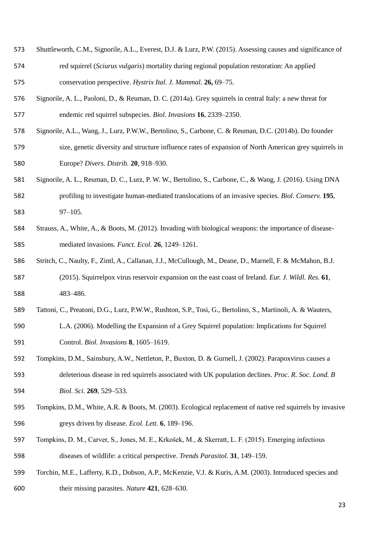- Shuttleworth, C.M., Signorile, A.L., Everest, D.J. & Lurz, P.W. (2015). Assessing causes and significance of red squirrel (*Sciurus vulgaris*) mortality during regional population restoration: An applied conservation perspective. *Hystrix Ital. J. Mammal.* **26,** 69–75.
- Signorile, A. L., Paoloni, D., & Reuman, D. C. (2014a). Grey squirrels in central Italy: a new threat for endemic red squirrel subspecies. *Biol. Invasions* **16**, 2339–2350.
- Signorile, A.L., Wang, J., Lurz, P.W.W., Bertolino, S., Carbone, C. & Reuman, D.C. (2014b). Do founder
- size, genetic diversity and structure influence rates of expansion of North American grey squirrels in Europe? *Divers. Distrib.* **20**, 918–930.
- Signorile, A. L., Reuman, D. C., Lurz, P. W. W., Bertolino, S., Carbone, C., & Wang, J. (2016). Using DNA profiling to investigate human-mediated translocations of an invasive species. *Biol. Conserv.* **195**, 97–105.
- Strauss, A., White, A., & Boots, M. (2012). Invading with biological weapons: the importance of disease-mediated invasions. *Funct. Ecol.* **26**, 1249–1261.
- Stritch, C., Naulty, F., Zintl, A., Callanan, J.J., McCullough, M., Deane, D., Marnell, F. & McMahon, B.J. (2015). Squirrelpox virus reservoir expansion on the east coast of Ireland. *Eur. J. Wildl. Res.* **61**, 483–486.
- Tattoni, C., Preatoni, D.G., Lurz, P.W.W., Rushton, S.P., Tosi, G., Bertolino, S., Martinoli, A. & Wauters,
- L.A. (2006). Modelling the Expansion of a Grey Squirrel population: Implications for Squirrel Control. *Biol. Invasions* **8**, 1605–1619.
- Tompkins, D.M., Sainsbury, A.W., Nettleton, P., Buxton, D. & Gurnell, J. (2002). Parapoxvirus causes a
- deleterious disease in red squirrels associated with UK population declines. *Proc. R. Soc. Lond. B Biol. Sci.* **269**, 529–533.
- Tompkins, D.M., White, A.R. & Boots, M. (2003). Ecological replacement of native red squirrels by invasive greys driven by disease. *Ecol. Lett.* **6**, 189–196.
- Tompkins, D. M., Carver, S., Jones, M. E., Krkošek, M., & Skerratt, L. F. (2015). Emerging infectious diseases of wildlife: a critical perspective. *Trends Parasitol.* **31**, 149–159.
- Torchin, M.E., Lafferty, K.D., Dobson, A.P., McKenzie, V.J. & Kuris, A.M. (2003). Introduced species and their missing parasites. *Nature* **421**, 628–630.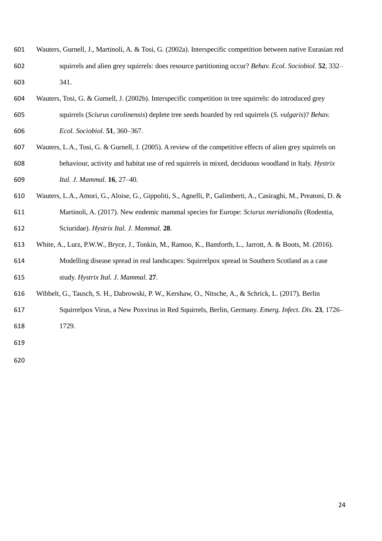- Wauters, Gurnell, J., Martinoli, A. & Tosi, G. (2002a). Interspecific competition between native Eurasian red squirrels and alien grey squirrels: does resource partitioning occur? *Behav. Ecol. Sociobiol.* **52**, 332– 341.
- Wauters, Tosi, G. & Gurnell, J. (2002b). Interspecific competition in tree squirrels: do introduced grey squirrels (*Sciurus carolinensis*) deplete tree seeds hoarded by red squirrels (*S. vulgaris*)? *Behav. Ecol. Sociobiol.* **51**, 360–367.
- Wauters, L.A., Tosi, G. & Gurnell, J. (2005). A review of the competitive effects of alien grey squirrels on behaviour, activity and habitat use of red squirrels in mixed, deciduous woodland in Italy. *Hystrix Ital. J. Mammal.* **16**, 27–40.
- Wauters, L.A., Amori, G., Aloise, G., Gippoliti, S., Agnelli, P., Galimberti, A., Casiraghi, M., Preatoni, D. & Martinoli, A. (2017). New endemic mammal species for Europe: *Sciurus meridionalis* (Rodentia, Sciuridae). *Hystrix Ital. J. Mammal.* **28**.
- White, A., Lurz, P.W.W., Bryce, J., Tonkin, M., Ramoo, K., Bamforth, L., Jarrott, A. & Boots, M. (2016). Modelling disease spread in real landscapes: Squirrelpox spread in Southern Scotland as a case study. *Hystrix Ital. J. Mammal.* **27**.
- Wibbelt, G., Tausch, S. H., Dabrowski, P. W., Kershaw, O., Nitsche, A., & Schrick, L. (2017). Berlin
- Squirrelpox Virus, a New Poxvirus in Red Squirrels, Berlin, Germany. *Emerg. Infect. Dis.* **23**, 1726– 1729.